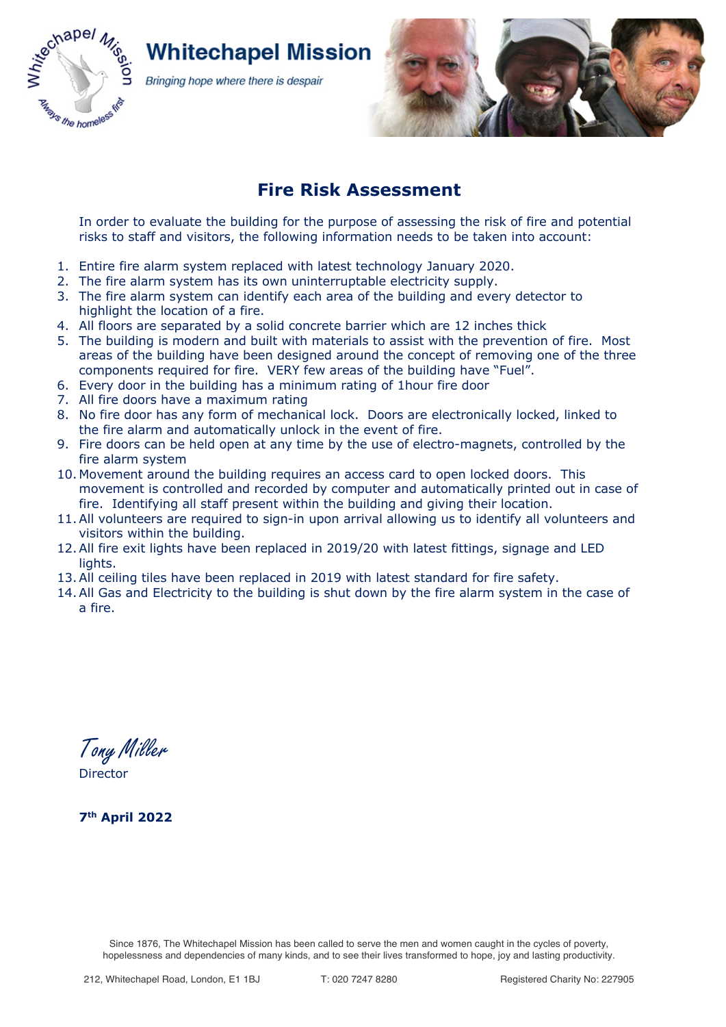

# **Whitechapel Mission**

Bringing hope where there is despair

## **Fire Risk Assessment**

In order to evaluate the building for the purpose of assessing the risk of fire and potential risks to staff and visitors, the following information needs to be taken into account:

- 1. Entire fire alarm system replaced with latest technology January 2020.
- 2. The fire alarm system has its own uninterruptable electricity supply.
- 3. The fire alarm system can identify each area of the building and every detector to highlight the location of a fire.
- 4. All floors are separated by a solid concrete barrier which are 12 inches thick
- 5. The building is modern and built with materials to assist with the prevention of fire. Most areas of the building have been designed around the concept of removing one of the three components required for fire. VERY few areas of the building have "Fuel".
- 6. Every door in the building has a minimum rating of 1hour fire door
- 7. All fire doors have a maximum rating
- 8. No fire door has any form of mechanical lock. Doors are electronically locked, linked to the fire alarm and automatically unlock in the event of fire.
- 9. Fire doors can be held open at any time by the use of electro-magnets, controlled by the fire alarm system
- 10. Movement around the building requires an access card to open locked doors. This movement is controlled and recorded by computer and automatically printed out in case of fire. Identifying all staff present within the building and giving their location.
- 11.All volunteers are required to sign-in upon arrival allowing us to identify all volunteers and visitors within the building.
- 12.All fire exit lights have been replaced in 2019/20 with latest fittings, signage and LED lights.
- 13.All ceiling tiles have been replaced in 2019 with latest standard for fire safety.
- 14.All Gas and Electricity to the building is shut down by the fire alarm system in the case of a fire.

Tony Miller **Director** 

**7th April 2022**

Since 1876, The Whitechapel Mission has been called to serve the men and women caught in the cycles of poverty, hopelessness and dependencies of many kinds, and to see their lives transformed to hope, joy and lasting productivity.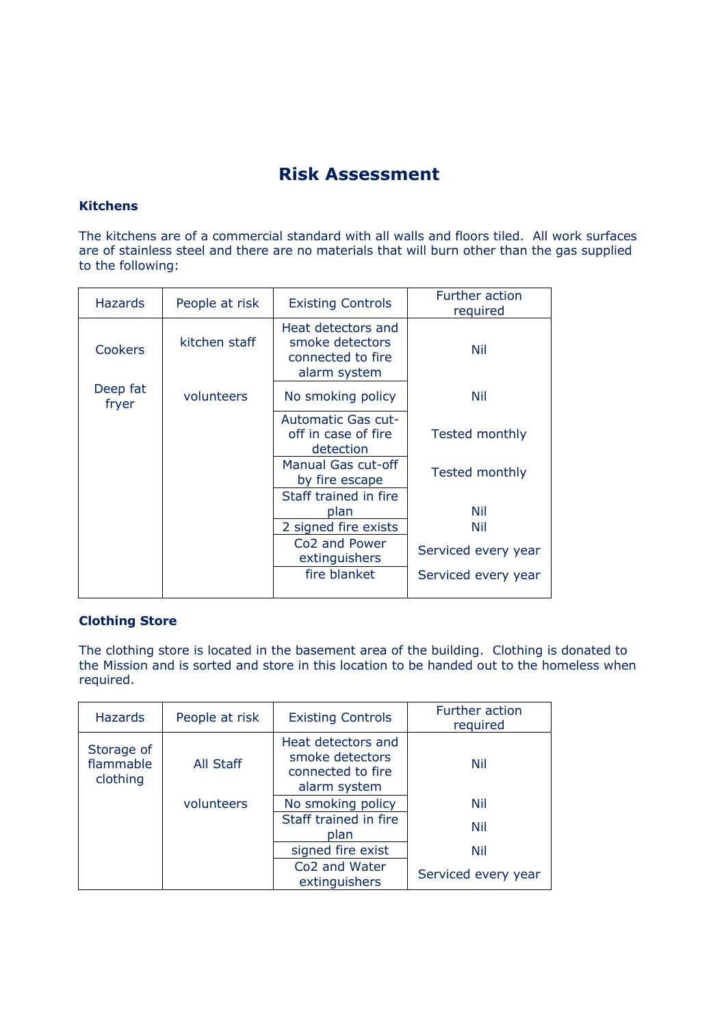# **Risk Assessment**

#### **Kitchens**

The kitchens are of a commercial standard with all walls and floors tiled. All work surfaces are of stainless steel and there are no materials that will burn other than the gas supplied to the following:

| <b>Hazards</b>    | People at risk | <b>Existing Controls</b>                                                   | <b>Further action</b><br>required |
|-------------------|----------------|----------------------------------------------------------------------------|-----------------------------------|
| <b>Cookers</b>    | kitchen staff  | Heat detectors and<br>smoke detectors<br>connected to fire<br>alarm system | Nil                               |
| Deep fat<br>fryer | volunteers     | No smoking policy                                                          | Nil                               |
|                   |                | Automatic Gas cut-<br>off in case of fire<br>detection                     | Tested monthly                    |
|                   |                | Manual Gas cut-off<br>by fire escape                                       | Tested monthly                    |
|                   |                | Staff trained in fire<br>plan                                              | Nil                               |
|                   |                | 2 signed fire exists                                                       | Nil                               |
|                   |                | Co <sub>2</sub> and Power<br>extinguishers                                 | Serviced every year               |
|                   |                | fire blanket                                                               | Serviced every year               |
|                   |                |                                                                            |                                   |

### **Clothing Store**

The clothing store is located in the basement area of the building. Clothing is donated to the Mission and is sorted and store in this location to be handed out to the homeless when required.

| <b>Hazards</b>                      | People at risk | <b>Existing Controls</b>                                                   | Further action<br>required |
|-------------------------------------|----------------|----------------------------------------------------------------------------|----------------------------|
| Storage of<br>flammable<br>clothing | All Staff      | Heat detectors and<br>smoke detectors<br>connected to fire<br>alarm system | Nil                        |
|                                     | volunteers     | No smoking policy                                                          | Nil                        |
|                                     |                | Staff trained in fire<br>plan                                              | Nil                        |
|                                     |                | signed fire exist                                                          | <b>Nil</b>                 |
|                                     |                | Co <sub>2</sub> and Water<br>extinguishers                                 | Serviced every year        |